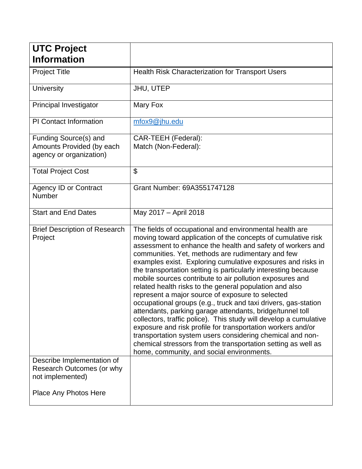| <b>UTC Project</b>                                                            |                                                                                                                                                                                                                                                                                                                                                                                                                                                                                                                                                                                                                                                                                                                                                                                                                                                                                                                                                                                                      |
|-------------------------------------------------------------------------------|------------------------------------------------------------------------------------------------------------------------------------------------------------------------------------------------------------------------------------------------------------------------------------------------------------------------------------------------------------------------------------------------------------------------------------------------------------------------------------------------------------------------------------------------------------------------------------------------------------------------------------------------------------------------------------------------------------------------------------------------------------------------------------------------------------------------------------------------------------------------------------------------------------------------------------------------------------------------------------------------------|
| <b>Information</b>                                                            |                                                                                                                                                                                                                                                                                                                                                                                                                                                                                                                                                                                                                                                                                                                                                                                                                                                                                                                                                                                                      |
| <b>Project Title</b>                                                          | Health Risk Characterization for Transport Users                                                                                                                                                                                                                                                                                                                                                                                                                                                                                                                                                                                                                                                                                                                                                                                                                                                                                                                                                     |
| <b>University</b>                                                             | JHU, UTEP                                                                                                                                                                                                                                                                                                                                                                                                                                                                                                                                                                                                                                                                                                                                                                                                                                                                                                                                                                                            |
| Principal Investigator                                                        | Mary Fox                                                                                                                                                                                                                                                                                                                                                                                                                                                                                                                                                                                                                                                                                                                                                                                                                                                                                                                                                                                             |
| <b>PI Contact Information</b>                                                 | mfox9@jhu.edu                                                                                                                                                                                                                                                                                                                                                                                                                                                                                                                                                                                                                                                                                                                                                                                                                                                                                                                                                                                        |
| Funding Source(s) and<br>Amounts Provided (by each<br>agency or organization) | CAR-TEEH (Federal):<br>Match (Non-Federal):                                                                                                                                                                                                                                                                                                                                                                                                                                                                                                                                                                                                                                                                                                                                                                                                                                                                                                                                                          |
| <b>Total Project Cost</b>                                                     | \$                                                                                                                                                                                                                                                                                                                                                                                                                                                                                                                                                                                                                                                                                                                                                                                                                                                                                                                                                                                                   |
| <b>Agency ID or Contract</b><br><b>Number</b>                                 | Grant Number: 69A3551747128                                                                                                                                                                                                                                                                                                                                                                                                                                                                                                                                                                                                                                                                                                                                                                                                                                                                                                                                                                          |
| <b>Start and End Dates</b>                                                    | May 2017 - April 2018                                                                                                                                                                                                                                                                                                                                                                                                                                                                                                                                                                                                                                                                                                                                                                                                                                                                                                                                                                                |
| <b>Brief Description of Research</b><br>Project                               | The fields of occupational and environmental health are<br>moving toward application of the concepts of cumulative risk<br>assessment to enhance the health and safety of workers and<br>communities. Yet, methods are rudimentary and few<br>examples exist. Exploring cumulative exposures and risks in<br>the transportation setting is particularly interesting because<br>mobile sources contribute to air pollution exposures and<br>related health risks to the general population and also<br>represent a major source of exposure to selected<br>occupational groups (e.g., truck and taxi drivers, gas-station<br>attendants, parking garage attendants, bridge/tunnel toll<br>collectors, traffic police). This study will develop a cumulative<br>exposure and risk profile for transportation workers and/or<br>transportation system users considering chemical and non-<br>chemical stressors from the transportation setting as well as<br>home, community, and social environments. |
| Describe Implementation of<br>Research Outcomes (or why<br>not implemented)   |                                                                                                                                                                                                                                                                                                                                                                                                                                                                                                                                                                                                                                                                                                                                                                                                                                                                                                                                                                                                      |
| Place Any Photos Here                                                         |                                                                                                                                                                                                                                                                                                                                                                                                                                                                                                                                                                                                                                                                                                                                                                                                                                                                                                                                                                                                      |